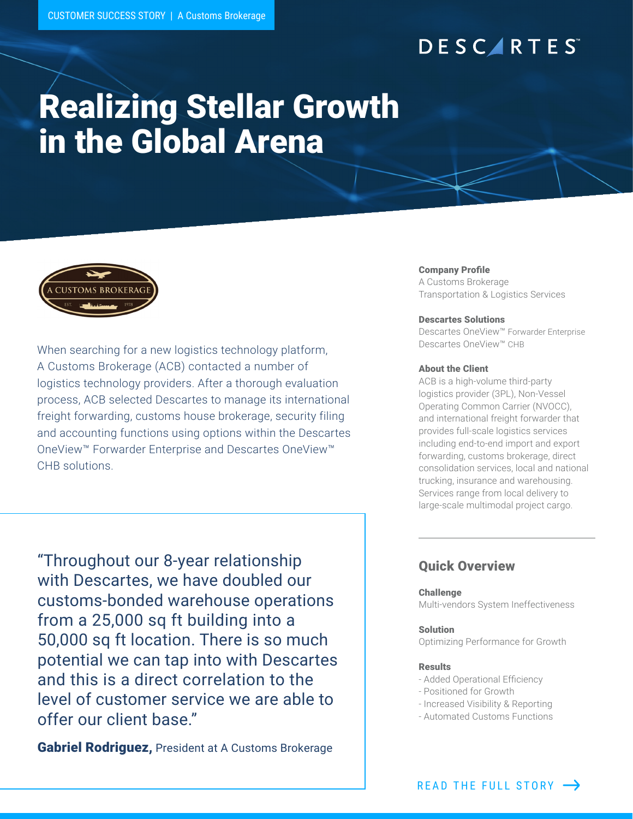# **DESCARTES**

# Realizing Stellar Growth in the Global Arena



When searching for a new logistics technology platform, A Customs Brokerage (ACB) contacted a number of logistics technology providers. After a thorough evaluation process, ACB selected Descartes to manage its international freight forwarding, customs house brokerage, security filing and accounting functions using options within the Descartes OneView™ Forwarder Enterprise and Descartes OneView™ CHB solutions.

"Throughout our 8-year relationship with Descartes, we have doubled our customs-bonded warehouse operations from a 25,000 sq ft building into a 50,000 sq ft location. There is so much potential we can tap into with Descartes and this is a direct correlation to the level of customer service we are able to offer our client base."

**Gabriel Rodriguez, President at A Customs Brokerage** 

### Company Profile

A Customs Brokerage Transportation & Logistics Services

### Descartes Solutions

Descartes OneView™ Forwarder Enterprise Descartes OneView™ CHB

### About the Client

ACB is a high-volume third-party logistics provider (3PL), Non-Vessel Operating Common Carrier (NVOCC), and international freight forwarder that provides full-scale logistics services including end-to-end import and export forwarding, customs brokerage, direct consolidation services, local and national trucking, insurance and warehousing. Services range from local delivery to large-scale multimodal project cargo.

### Quick Overview

### Challenge

Multi-vendors System Ineffectiveness

### Solution

Optimizing Performance for Growth

### Results

- Added Operational Efficiency
- Positioned for Growth
- Increased Visibility & Reporting
- Automated Customs Functions